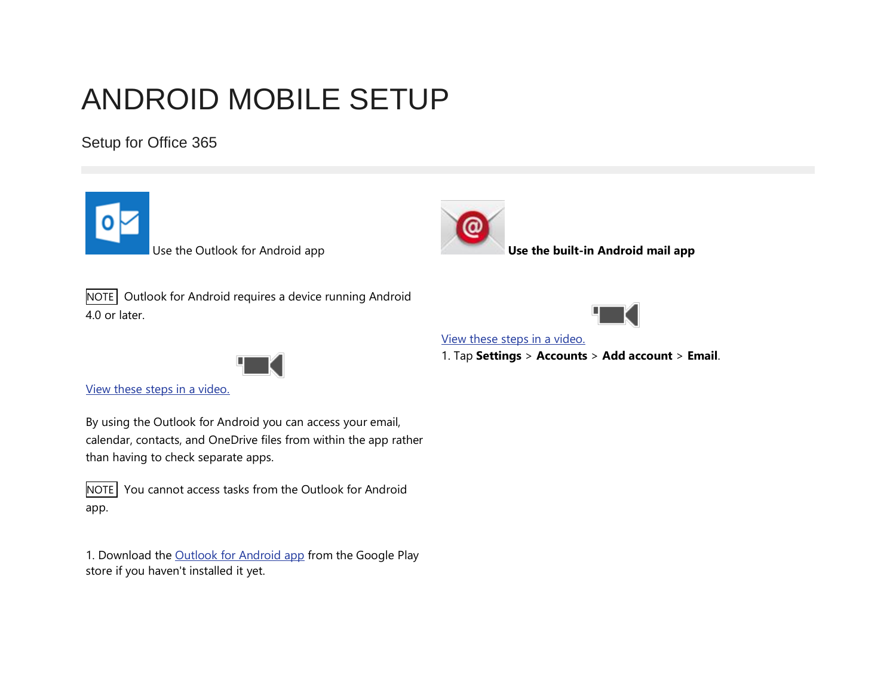# ANDROID MOBILE SETUP

Setup for Office 365



than having to check separate apps.

You cannot access tasks from the Outlook for Android app.

1. Download the [Outlook for Android app](https://play.google.com/store/apps/details?id=com.microsoft.office.outlook&hl=en) from the Google Play store if you haven't installed it yet.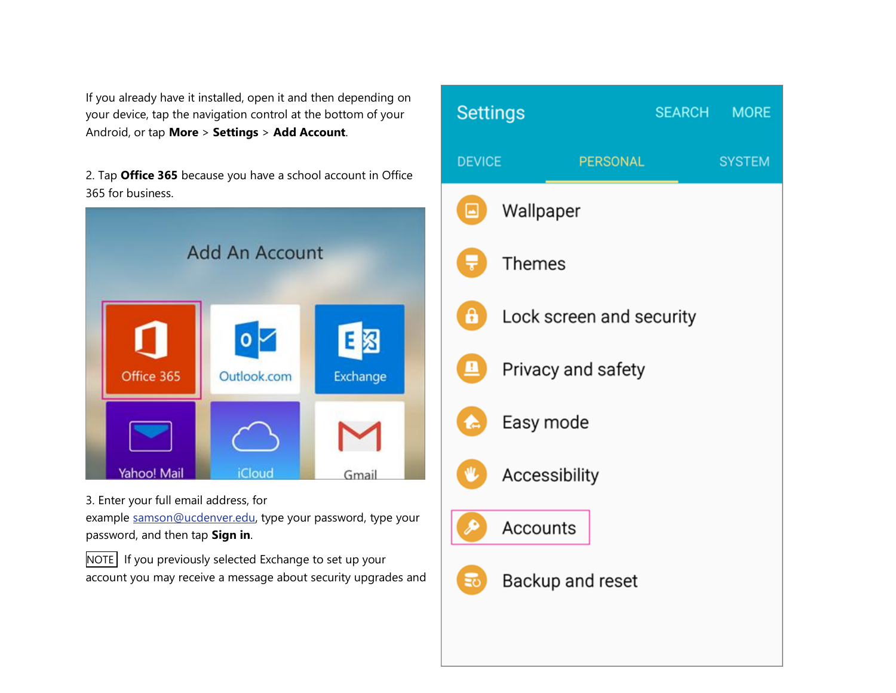If you already have it installed, open it and then depending on your device, tap the navigation control at the bottom of your Android, or tap **More** > **Settings** > **Add Account**.

2. Tap **Office 365** because you have a school account in Office 365 for business.



### 3. Enter your full email address, for

example [samson@ucdenver.edu,](mailto:samson@ucdenver.edu) type your password, type your password, and then tap **Sign in**.

NOTE If you previously selected Exchange to set up your account you may receive a message about security upgrades and

| <b>Settings</b>            |                          |  | SEARCH MORE   |  |
|----------------------------|--------------------------|--|---------------|--|
| <b>DEVICE</b>              | <b>PERSONAL</b>          |  | <b>SYSTEM</b> |  |
| ▣                          | Wallpaper                |  |               |  |
| Ļ۱                         | Themes                   |  |               |  |
| $\mathbf{a}$               | Lock screen and security |  |               |  |
| 里                          | Privacy and safety       |  |               |  |
| $\blacktriangle$           | Easy mode                |  |               |  |
| ⋓                          | Accessibility            |  |               |  |
| $\boldsymbol{\mathcal{P}}$ | Accounts                 |  |               |  |
| $\Xi$ o                    | Backup and reset         |  |               |  |
|                            |                          |  |               |  |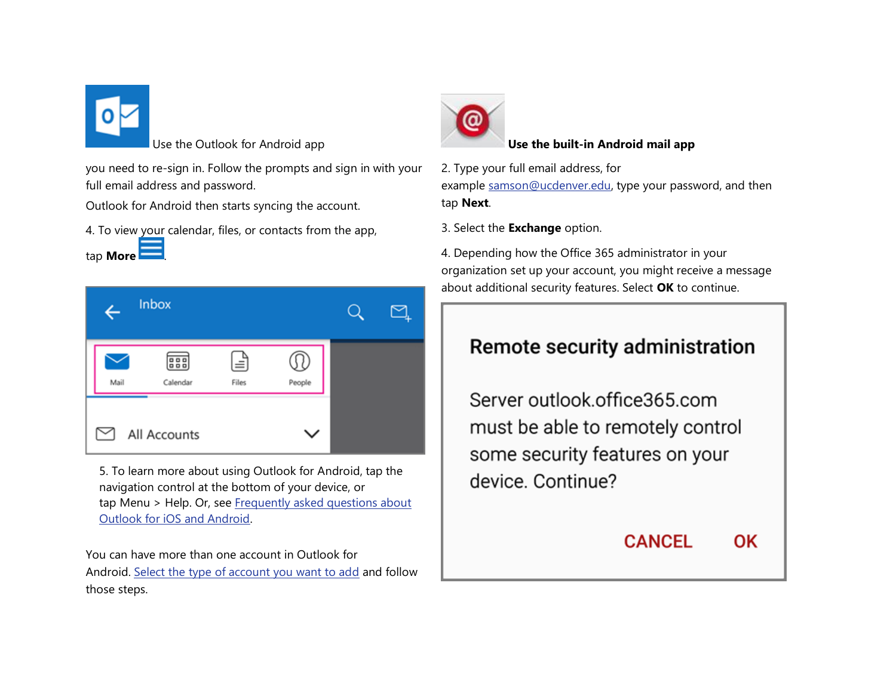

tap **More** .

you need to re-sign in. Follow the prompts and sign in with your full email address and password.

Outlook for Android then starts syncing the account.

4. To view your calendar, files, or contacts from the app,



5. To learn more about using Outlook for Android, tap the navigation control at the bottom of your device, or tap Menu > Help. Or, see Frequently asked questions about [Outlook for iOS and Android.](https://support.office.com/en-us/learn/outlook-for-ios-and-android-faq)

You can have more than one account in Outlook for Android. [Select the type of account you want to add](https://support.office.com/en-CA/article/Select-the-type-of-account-you-want-to-add-886db551-8dfa-4fd5-b835-f8e532091872) and follow those steps.



#### Use the Outlook for Android app **Use the built-in Android mail app**

2. Type your full email address, for example [samson@ucdenver.edu,](mailto:samson@ucdenver.edu) type your password, and then tap **Next**.

3. Select the **Exchange** option.

4. Depending how the Office 365 administrator in your organization set up your account, you might receive a message about additional security features. Select **OK** to continue.

## Remote security administration

Server outlook.office365.com must be able to remotely control some security features on your device, Continue?

> **CANCEL** OK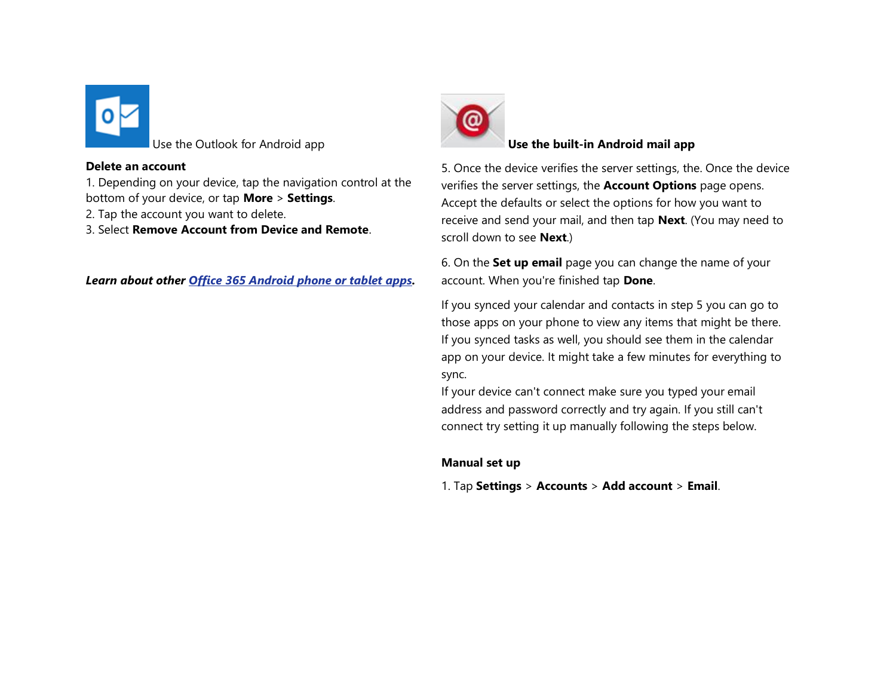

#### **Delete an account**

1. Depending on your device, tap the navigation control at the bottom of your device, or tap **More** > **Settings**.

- 2. Tap the account you want to delete.
- 3. Select **Remove Account from Device and Remote**.

*Learn about other [Office 365 Android phone or tablet apps.](https://support.office.com/en-CA/article/Office-365-Android-phone-or-tablet-apps-7dabb6cb-0046-40b6-81fe-767e0b1f014f#bkmk_android)*



#### Use the Outlook for Android app **Use the built-in Android mail app**

5. Once the device verifies the server settings, the. Once the device verifies the server settings, the **Account Options** page opens. Accept the defaults or select the options for how you want to receive and send your mail, and then tap **Next**. (You may need to scroll down to see **Next**.)

6. On the **Set up email** page you can change the name of your account. When you're finished tap **Done**.

If you synced your calendar and contacts in step 5 you can go to those apps on your phone to view any items that might be there. If you synced tasks as well, you should see them in the calendar app on your device. It might take a few minutes for everything to sync.

If your device can't connect make sure you typed your email address and password correctly and try again. If you still can't connect try setting it up manually following the steps below.

#### **Manual set up**

1. Tap **Settings** > **Accounts** > **Add account** > **Email**.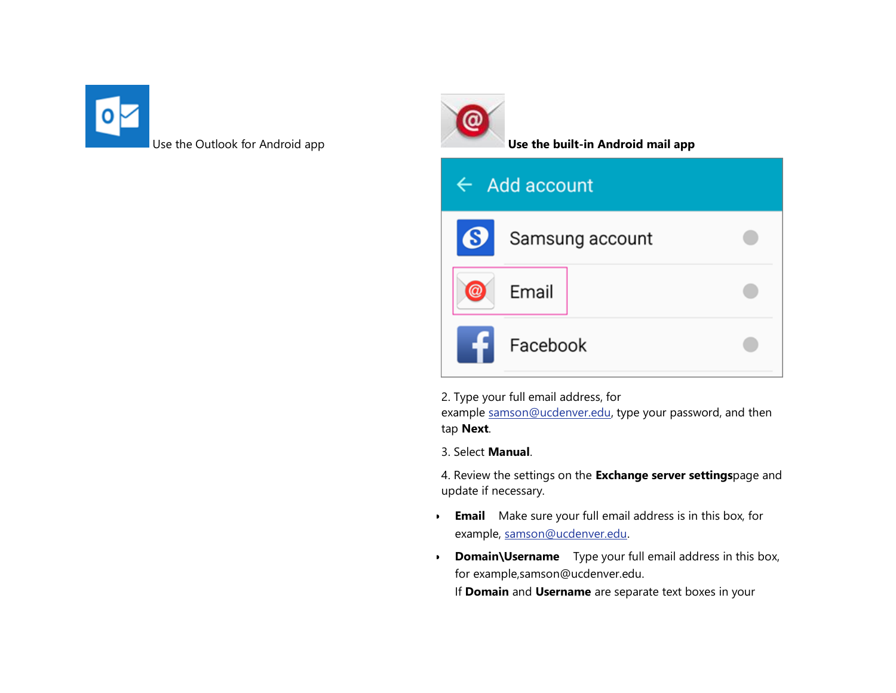



| $\leftarrow$ Add account  |          |                 |  |  |  |
|---------------------------|----------|-----------------|--|--|--|
| $\boldsymbol{\Theta}$ $ $ |          | Samsung account |  |  |  |
|                           | Email    |                 |  |  |  |
|                           | Facebook |                 |  |  |  |

2. Type your full email address, for

example [samson@ucdenver.edu,](mailto:samson@ucdenver.edu) type your password, and then tap **Next**.

3. Select **Manual**.

4. Review the settings on the **Exchange server settings**page and update if necessary.

- **Email** Make sure your full email address is in this box, for example, [samson@ucdenver.edu.](mailto:samson@ucdenver.edu)
- **Domain\Username** Type your full email address in this box, for example,samson@ucdenver.edu.

If **Domain** and **Username** are separate text boxes in your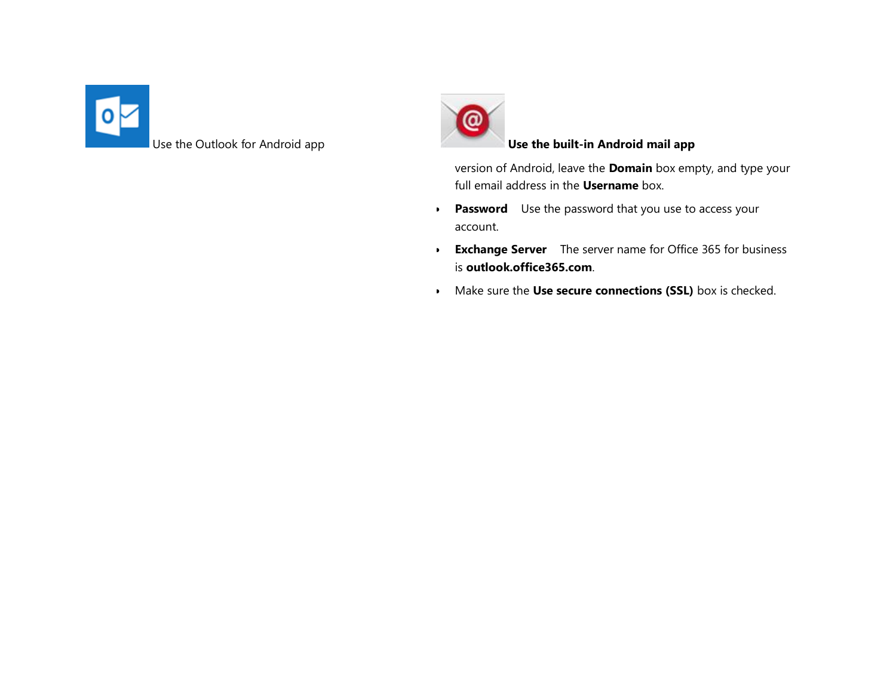



version of Android, leave the **Domain** box empty, and type your full email address in the **Username** box.

- **Password** Use the password that you use to access your account.
- **Exchange Server** The server name for Office 365 for business is **outlook.office365.com**.
- Make sure the **Use secure connections (SSL)** box is checked.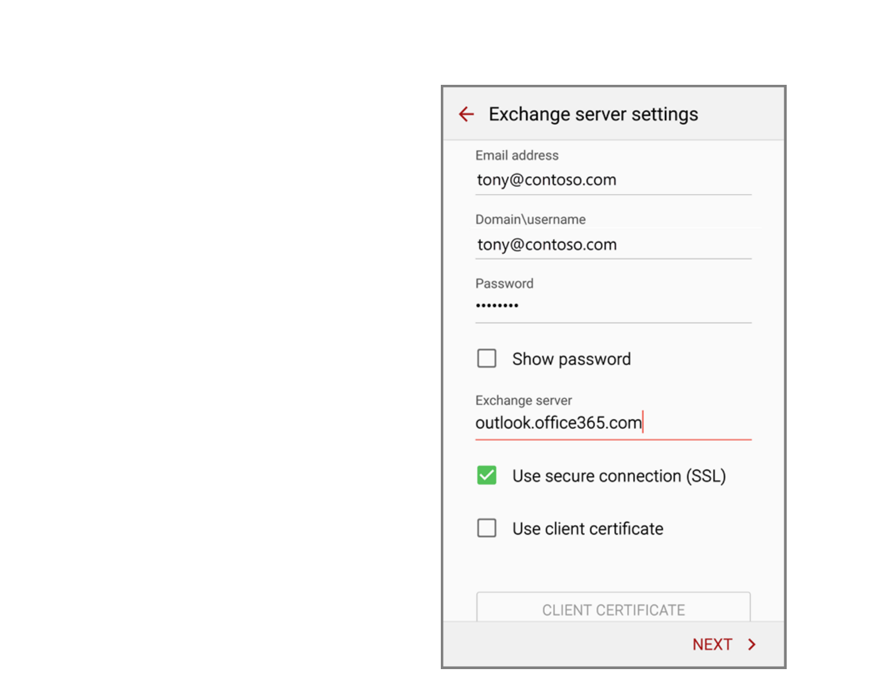| $\leftarrow$ Exchange server settings       |  |  |  |  |  |
|---------------------------------------------|--|--|--|--|--|
| Email address                               |  |  |  |  |  |
| tony@contoso.com                            |  |  |  |  |  |
| Domain\username                             |  |  |  |  |  |
| tony@contoso.com                            |  |  |  |  |  |
| Password                                    |  |  |  |  |  |
|                                             |  |  |  |  |  |
| Show password                               |  |  |  |  |  |
| Exchange server<br>outlook.office365.com    |  |  |  |  |  |
| Use secure connection (SSL)<br>$\checkmark$ |  |  |  |  |  |
| Use client certificate                      |  |  |  |  |  |
| CLIENT CERTIFICATE                          |  |  |  |  |  |
| NEXT                                        |  |  |  |  |  |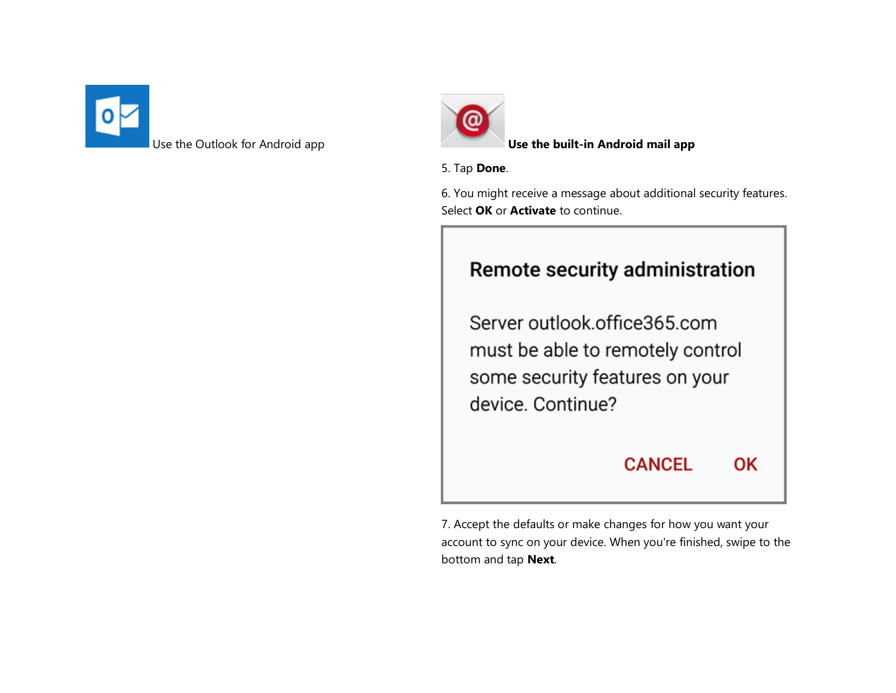



Use the Outlook for Android app **Use the built-in Android mail app**

#### 5. Tap **Done**.

6. You might receive a message about additional security features. Select **OK** or **Activate** to continue.

### Remote security administration

Server outlook.office365.com must be able to remotely control some security features on your device. Continue?

**CANCEL** 

**OK** 

7. Accept the defaults or make changes for how you want your account to sync on your device. When you're finished, swipe to the bottom and tap **Next**.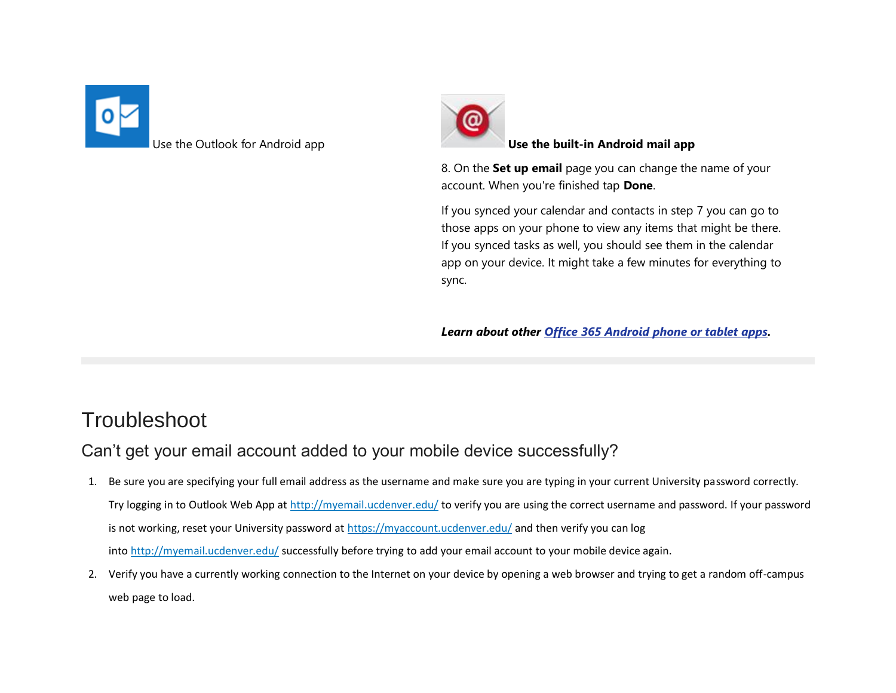



#### Use the Outlook for Android app **Use the built-in Android mail app**

8. On the **Set up email** page you can change the name of your account. When you're finished tap **Done**.

If you synced your calendar and contacts in step 7 you can go to those apps on your phone to view any items that might be there. If you synced tasks as well, you should see them in the calendar app on your device. It might take a few minutes for everything to sync.

*Learn about other [Office 365 Android phone or tablet apps.](https://support.office.com/en-CA/article/Office-365-Android-phone-or-tablet-apps-7dabb6cb-0046-40b6-81fe-767e0b1f014f#bkmk_android)*

## **Troubleshoot**

Can't get your email account added to your mobile device successfully?

- 1. Be sure you are specifying your full email address as the username and make sure you are typing in your current University password correctly. Try logging in to Outlook Web App at <http://myemail.ucdenver.edu/> to verify you are using the correct username and password. If your password is not working, reset your University password at <https://myaccount.ucdenver.edu/> and then verify you can log into <http://myemail.ucdenver.edu/> successfully before trying to add your email account to your mobile device again.
- 2. Verify you have a currently working connection to the Internet on your device by opening a web browser and trying to get a random off-campus web page to load.